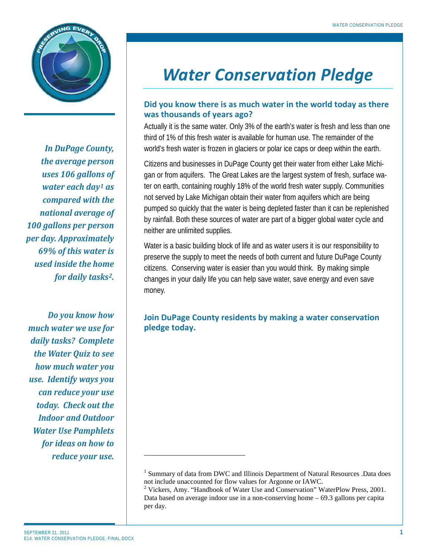

*In DuPage County, the average person uses 106 gallons of water each day[1](#page-0-0) as compared with the national average of 100 gallons per person per day. Approximately 69% of this water is used inside the home for daily tasks[2.](#page-0-1)* 

*Do you know how much water we use for daily tasks? Complete the Water Quiz to see how much water you use. Identify ways you can reduce your use today. Check out the Indoor and Outdoor Water Use Pamphlets for ideas on how to reduce your use.*

# *Water Conservation Pledge*

# **Did you know there is as much water in the world today as there was thousands of years ago?**

Actually it is the same water. Only 3% of the earth's water is fresh and less than one third of 1% of this fresh water is available for human use. The remainder of the world's fresh water is frozen in glaciers or polar ice caps or deep within the earth.

Citizens and businesses in DuPage County get their water from either Lake Michigan or from aquifers. The Great Lakes are the largest system of fresh, surface water on earth, containing roughly 18% of the world fresh water supply. Communities not served by Lake Michigan obtain their water from aquifers which are being pumped so quickly that the water is being depleted faster than it can be replenished by rainfall. Both these sources of water are part of a bigger global water cycle and neither are unlimited supplies.

Water is a basic building block of life and as water users it is our responsibility to preserve the supply to meet the needs of both current and future DuPage County citizens. Conserving water is easier than you would think. By making simple changes in your daily life you can help save water, save energy and even save money.

# **Join DuPage County residents by making a water conservation pledge today.**

j

<span id="page-0-0"></span><sup>&</sup>lt;sup>1</sup> Summary of data from DWC and Illinois Department of Natural Resources .Data does not include unaccounted for flow values for Argonne or IAWC.<br><sup>2</sup> Vickers, Amy. "Handbook of Water Use and Conservation" WaterPlow Press, 2001.

<span id="page-0-1"></span>Data based on average indoor use in a non-conserving home – 69.3 gallons per capita per day.